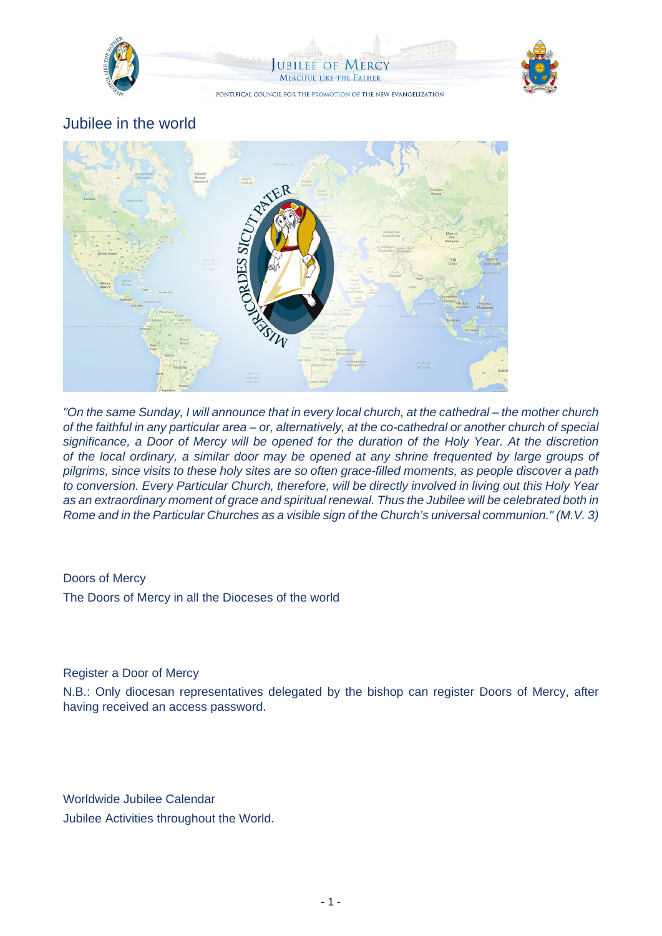

# Jubilee in the world



"On the same Sunday, I will announce that in every local church, at the cathedral – the mother church of the faithful in any particular area – or, alternatively, at the co-cathedral or another church of special significance, a Door of Mercy will be opened for the duration of the Holy Year. At the discretion of the local ordinary, a similar door may be opened at any shrine frequented by large groups of pilgrims, since visits to these holy sites are so often grace-filled moments, as people discover a path to conversion. Every Particular Church, therefore, will be directly involved in living out this Holy Year as an extraordinary moment of grace and spiritual renewal. Thus the Jubilee will be celebrated both in Rome and in the Particular Churches as a visible sign of the Church's universal communion." (M.V. 3)

## Doors of Mercy

The Doors of Mercy in all the Dioceses of the world

### Register a Door of Mercy

N.B.: Only diocesan representatives delegated by the bishop can register Doors of Mercy, after having received an access password.

Worldwide Jubilee Calendar Jubilee Activities throughout the World.